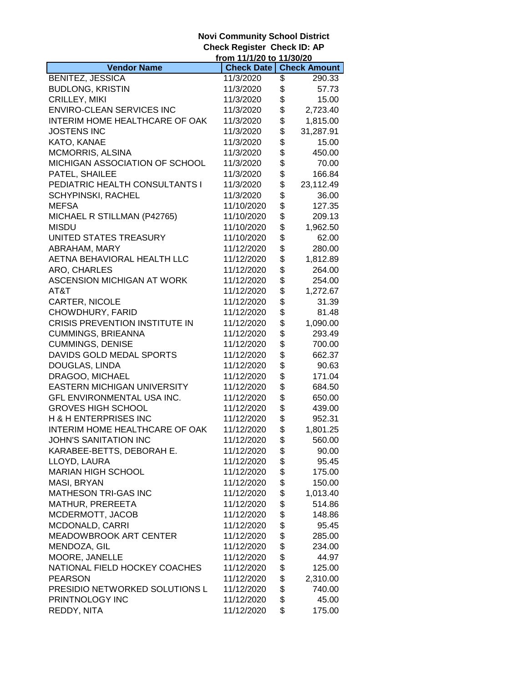## **Novi Community School District Check Register Check ID: AP**

|                                    | from 11/1/20 to 11/30/20 |                     |
|------------------------------------|--------------------------|---------------------|
| <b>Vendor Name</b>                 | <b>Check Date</b>        | <b>Check Amount</b> |
| <b>BENITEZ, JESSICA</b>            | 11/3/2020                | \$<br>290.33        |
| <b>BUDLONG, KRISTIN</b>            | 11/3/2020                | \$<br>57.73         |
| CRILLEY, MIKI                      | 11/3/2020                | \$<br>15.00         |
| <b>ENVIRO-CLEAN SERVICES INC</b>   | 11/3/2020                | \$<br>2,723.40      |
| INTERIM HOME HEALTHCARE OF OAK     | 11/3/2020                | \$<br>1,815.00      |
| <b>JOSTENS INC</b>                 | 11/3/2020                | \$<br>31,287.91     |
| KATO, KANAE                        | 11/3/2020                | \$<br>15.00         |
| <b>MCMORRIS, ALSINA</b>            | 11/3/2020                | \$<br>450.00        |
| MICHIGAN ASSOCIATION OF SCHOOL     | 11/3/2020                | \$<br>70.00         |
| PATEL, SHAILEE                     | 11/3/2020                | \$<br>166.84        |
| PEDIATRIC HEALTH CONSULTANTS I     | 11/3/2020                | \$<br>23,112.49     |
| <b>SCHYPINSKI, RACHEL</b>          | 11/3/2020                | \$<br>36.00         |
| <b>MEFSA</b>                       | 11/10/2020               | \$<br>127.35        |
| MICHAEL R STILLMAN (P42765)        | 11/10/2020               | \$<br>209.13        |
| <b>MISDU</b>                       | 11/10/2020               | \$<br>1,962.50      |
| UNITED STATES TREASURY             | 11/10/2020               | \$<br>62.00         |
| ABRAHAM, MARY                      | 11/12/2020               | \$<br>280.00        |
| AETNA BEHAVIORAL HEALTH LLC        | 11/12/2020               | \$<br>1,812.89      |
| ARO, CHARLES                       | 11/12/2020               | \$<br>264.00        |
| ASCENSION MICHIGAN AT WORK         |                          | \$<br>254.00        |
|                                    | 11/12/2020               |                     |
| AT&T                               | 11/12/2020               | \$<br>1,272.67      |
| CARTER, NICOLE                     | 11/12/2020               | \$<br>31.39         |
| CHOWDHURY, FARID                   | 11/12/2020               | \$<br>81.48         |
| CRISIS PREVENTION INSTITUTE IN     | 11/12/2020               | \$<br>1,090.00      |
| <b>CUMMINGS, BRIEANNA</b>          | 11/12/2020               | \$<br>293.49        |
| <b>CUMMINGS, DENISE</b>            | 11/12/2020               | \$<br>700.00        |
| DAVIDS GOLD MEDAL SPORTS           | 11/12/2020               | \$<br>662.37        |
| DOUGLAS, LINDA                     | 11/12/2020               | \$<br>90.63         |
| DRAGOO, MICHAEL                    | 11/12/2020               | \$<br>171.04        |
| <b>EASTERN MICHIGAN UNIVERSITY</b> | 11/12/2020               | \$<br>684.50        |
| GFL ENVIRONMENTAL USA INC.         | 11/12/2020               | \$<br>650.00        |
| <b>GROVES HIGH SCHOOL</b>          | 11/12/2020               | \$<br>439.00        |
| <b>H &amp; H ENTERPRISES INC</b>   | 11/12/2020               | \$<br>952.31        |
| INTERIM HOME HEALTHCARE OF OAK     | 11/12/2020               | \$<br>1,801.25      |
| JOHN'S SANITATION INC              | 11/12/2020               | \$<br>560.00        |
| KARABEE-BETTS, DEBORAH E.          | 11/12/2020               | \$<br>90.00         |
| LLOYD, LAURA                       | 11/12/2020               | \$<br>95.45         |
| <b>MARIAN HIGH SCHOOL</b>          | 11/12/2020               | \$<br>175.00        |
| MASI, BRYAN                        | 11/12/2020               | \$<br>150.00        |
| <b>MATHESON TRI-GAS INC</b>        | 11/12/2020               | \$<br>1,013.40      |
| MATHUR, PREREETA                   | 11/12/2020               | \$<br>514.86        |
| MCDERMOTT, JACOB                   | 11/12/2020               | \$<br>148.86        |
| MCDONALD, CARRI                    | 11/12/2020               | \$<br>95.45         |
| MEADOWBROOK ART CENTER             | 11/12/2020               | \$<br>285.00        |
| MENDOZA, GIL                       | 11/12/2020               | \$<br>234.00        |
| MOORE, JANELLE                     | 11/12/2020               | \$<br>44.97         |
| NATIONAL FIELD HOCKEY COACHES      | 11/12/2020               | \$<br>125.00        |
| <b>PEARSON</b>                     | 11/12/2020               | \$<br>2,310.00      |
| PRESIDIO NETWORKED SOLUTIONS L     | 11/12/2020               | \$<br>740.00        |
| PRINTNOLOGY INC                    | 11/12/2020               | \$<br>45.00         |
| REDDY, NITA                        | 11/12/2020               | \$<br>175.00        |
|                                    |                          |                     |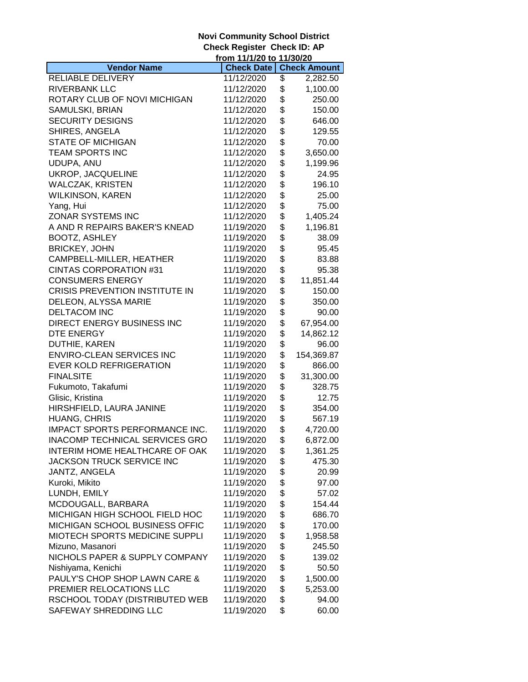## **Novi Community School District Check Register Check ID: AP**

|                                                             | from 11/1/20 to 11/30/20 |          |                     |
|-------------------------------------------------------------|--------------------------|----------|---------------------|
| <b>Vendor Name</b>                                          | <b>Check Date</b>        |          | <b>Check Amount</b> |
| RELIABLE DELIVERY                                           | 11/12/2020               | \$       | 2,282.50            |
| RIVERBANK LLC                                               | 11/12/2020               | \$       | 1,100.00            |
| ROTARY CLUB OF NOVI MICHIGAN                                | 11/12/2020               | \$       | 250.00              |
| SAMULSKI, BRIAN                                             | 11/12/2020               | \$       | 150.00              |
| <b>SECURITY DESIGNS</b>                                     | 11/12/2020               | \$       | 646.00              |
| SHIRES, ANGELA                                              | 11/12/2020               | \$       | 129.55              |
| <b>STATE OF MICHIGAN</b>                                    | 11/12/2020               | \$       | 70.00               |
| TEAM SPORTS INC                                             | 11/12/2020               | \$       | 3,650.00            |
| UDUPA, ANU                                                  | 11/12/2020               | \$       | 1,199.96            |
| UKROP, JACQUELINE                                           | 11/12/2020               | \$       | 24.95               |
| <b>WALCZAK, KRISTEN</b>                                     | 11/12/2020               | \$       | 196.10              |
| <b>WILKINSON, KAREN</b>                                     | 11/12/2020               | \$       | 25.00               |
| Yang, Hui                                                   | 11/12/2020               | \$       | 75.00               |
| <b>ZONAR SYSTEMS INC</b>                                    | 11/12/2020               | \$       | 1,405.24            |
| A AND R REPAIRS BAKER'S KNEAD                               | 11/19/2020               | \$       | 1,196.81            |
| <b>BOOTZ, ASHLEY</b>                                        | 11/19/2020               | \$       | 38.09               |
| <b>BRICKEY, JOHN</b>                                        | 11/19/2020               | \$       | 95.45               |
| CAMPBELL-MILLER, HEATHER                                    | 11/19/2020               | \$       | 83.88               |
| <b>CINTAS CORPORATION #31</b>                               | 11/19/2020               | \$       | 95.38               |
| <b>CONSUMERS ENERGY</b>                                     | 11/19/2020               | \$       | 11,851.44           |
|                                                             |                          |          |                     |
| CRISIS PREVENTION INSTITUTE IN                              | 11/19/2020<br>11/19/2020 | \$<br>\$ | 150.00              |
| DELEON, ALYSSA MARIE                                        |                          |          | 350.00              |
| <b>DELTACOM INC</b>                                         | 11/19/2020               | \$       | 90.00               |
| DIRECT ENERGY BUSINESS INC                                  | 11/19/2020               | \$       | 67,954.00           |
| DTE ENERGY                                                  | 11/19/2020               | \$       | 14,862.12           |
| DUTHIE, KAREN                                               | 11/19/2020               | \$       | 96.00               |
| <b>ENVIRO-CLEAN SERVICES INC</b>                            | 11/19/2020               | \$       | 154,369.87          |
| <b>EVER KOLD REFRIGERATION</b>                              | 11/19/2020               | \$       | 866.00              |
| <b>FINALSITE</b>                                            | 11/19/2020               | \$       | 31,300.00           |
| Fukumoto, Takafumi                                          | 11/19/2020               | \$       | 328.75              |
| Glisic, Kristina<br>HIRSHFIELD, LAURA JANINE                | 11/19/2020               | \$<br>\$ | 12.75               |
|                                                             | 11/19/2020               | \$       | 354.00              |
| HUANG, CHRIS                                                | 11/19/2020               | \$       | 567.19              |
| IMPACT SPORTS PERFORMANCE INC.                              | 11/19/2020               |          | 4,720.00            |
| <b>INACOMP TECHNICAL SERVICES GRO</b>                       | 11/19/2020               | \$       | 6,872.00            |
| INTERIM HOME HEALTHCARE OF OAK<br>JACKSON TRUCK SERVICE INC | 11/19/2020               | \$       | 1,361.25<br>475.30  |
|                                                             | 11/19/2020               | \$       |                     |
| JANTZ, ANGELA<br>Kuroki, Mikito                             | 11/19/2020               | \$       | 20.99               |
|                                                             | 11/19/2020               | \$       | 97.00               |
| LUNDH, EMILY                                                | 11/19/2020               | \$       | 57.02               |
| MCDOUGALL, BARBARA                                          | 11/19/2020               | \$       | 154.44              |
| MICHIGAN HIGH SCHOOL FIELD HOC                              | 11/19/2020               | \$       | 686.70              |
| MICHIGAN SCHOOL BUSINESS OFFIC                              | 11/19/2020               | \$       | 170.00              |
| MIOTECH SPORTS MEDICINE SUPPLI                              | 11/19/2020               | \$       | 1,958.58            |
| Mizuno, Masanori                                            | 11/19/2020               | \$       | 245.50              |
| NICHOLS PAPER & SUPPLY COMPANY                              | 11/19/2020               | \$       | 139.02              |
| Nishiyama, Kenichi                                          | 11/19/2020               | \$       | 50.50               |
| PAULY'S CHOP SHOP LAWN CARE &                               | 11/19/2020               | \$       | 1,500.00            |
| PREMIER RELOCATIONS LLC                                     | 11/19/2020               | \$       | 5,253.00            |
| RSCHOOL TODAY (DISTRIBUTED WEB                              | 11/19/2020               | \$       | 94.00               |
| SAFEWAY SHREDDING LLC                                       | 11/19/2020               | \$       | 60.00               |